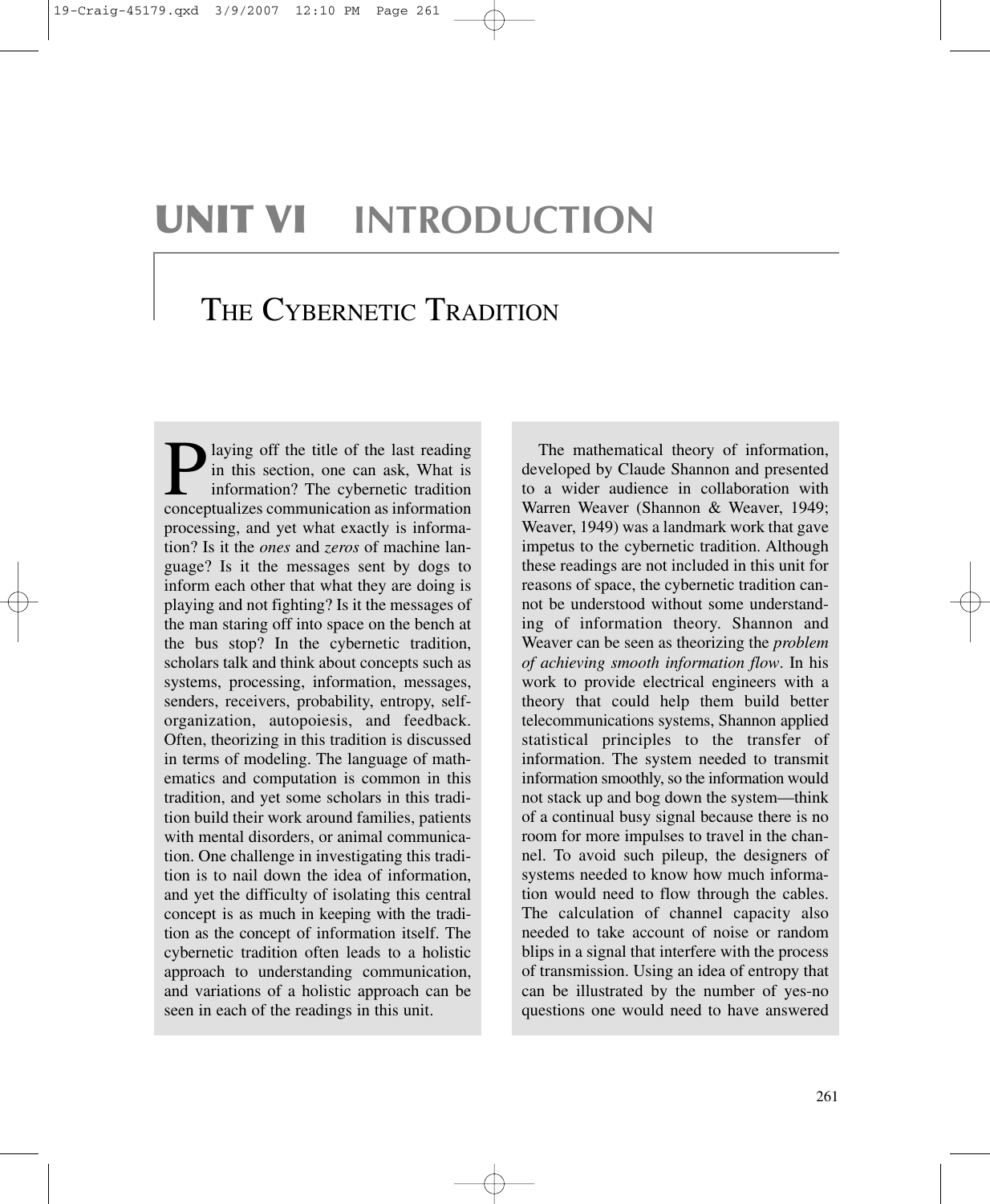# **UNIT VI INTRODUCTION**

## THE CYBERNETIC TRADITION

**P** laying off the title of the last reading<br>in this section, one can ask, What is<br>information? The cybernetic tradition<br>concentualizes communication as information in this section, one can ask, What is information? The cybernetic tradition conceptualizes communication as information processing, and yet what exactly is information? Is it the *ones* and *zeros* of machine language? Is it the messages sent by dogs to inform each other that what they are doing is playing and not fighting? Is it the messages of the man staring off into space on the bench at the bus stop? In the cybernetic tradition, scholars talk and think about concepts such as systems, processing, information, messages, senders, receivers, probability, entropy, selforganization, autopoiesis, and feedback. Often, theorizing in this tradition is discussed in terms of modeling. The language of mathematics and computation is common in this tradition, and yet some scholars in this tradition build their work around families, patients with mental disorders, or animal communication. One challenge in investigating this tradition is to nail down the idea of information, and yet the difficulty of isolating this central concept is as much in keeping with the tradition as the concept of information itself. The cybernetic tradition often leads to a holistic approach to understanding communication, and variations of a holistic approach can be seen in each of the readings in this unit.

The mathematical theory of information, developed by Claude Shannon and presented to a wider audience in collaboration with Warren Weaver (Shannon & Weaver, 1949; Weaver, 1949) was a landmark work that gave impetus to the cybernetic tradition. Although these readings are not included in this unit for reasons of space, the cybernetic tradition cannot be understood without some understanding of information theory. Shannon and Weaver can be seen as theorizing the *problem of achieving smooth information flow*. In his work to provide electrical engineers with a theory that could help them build better telecommunications systems, Shannon applied statistical principles to the transfer of information. The system needed to transmit information smoothly, so the information would not stack up and bog down the system—think of a continual busy signal because there is no room for more impulses to travel in the channel. To avoid such pileup, the designers of systems needed to know how much information would need to flow through the cables. The calculation of channel capacity also needed to take account of noise or random blips in a signal that interfere with the process of transmission. Using an idea of entropy that can be illustrated by the number of yes-no questions one would need to have answered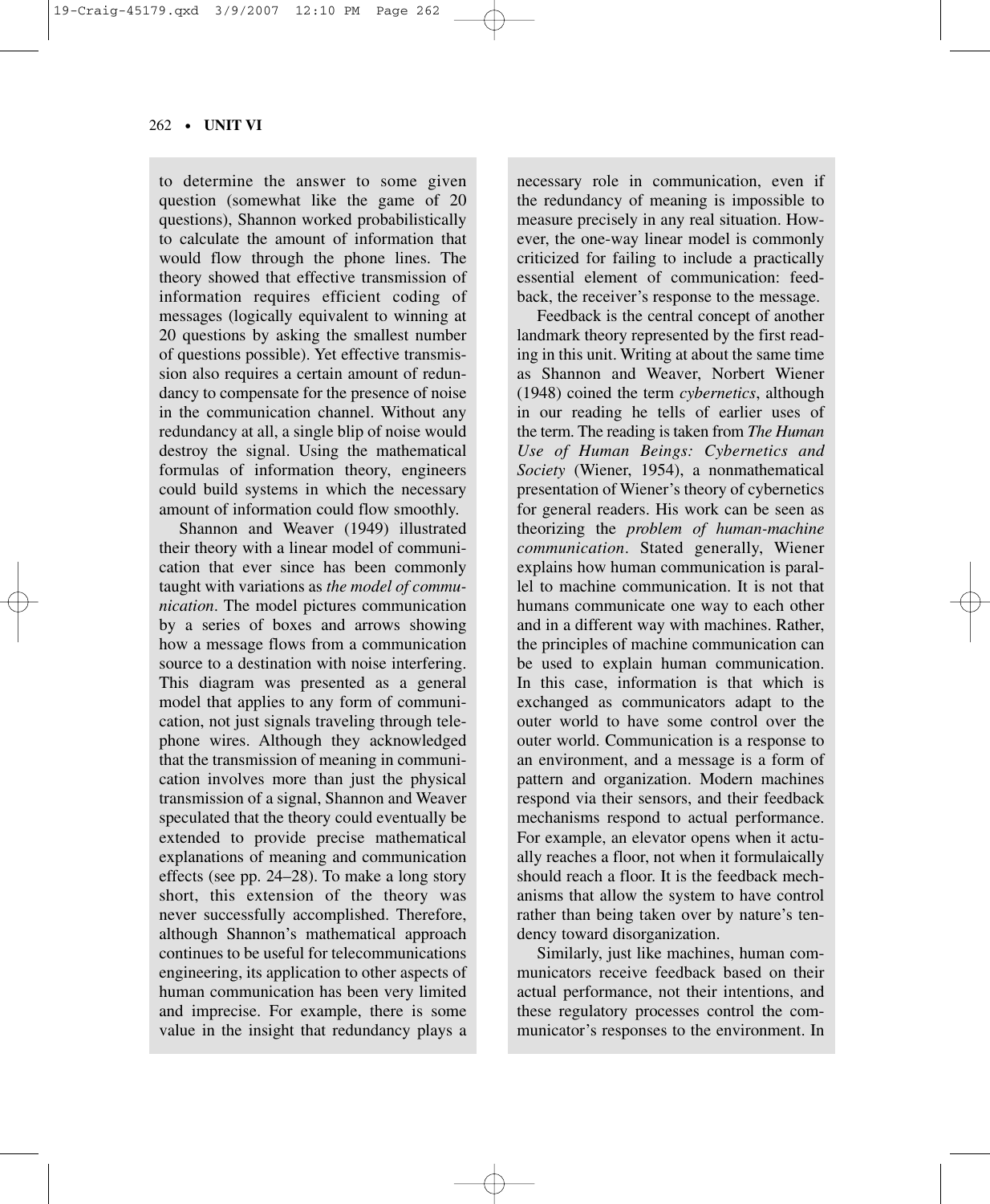### 262 • **UNIT VI**

to determine the answer to some given question (somewhat like the game of 20 questions), Shannon worked probabilistically to calculate the amount of information that would flow through the phone lines. The theory showed that effective transmission of information requires efficient coding of messages (logically equivalent to winning at 20 questions by asking the smallest number of questions possible). Yet effective transmission also requires a certain amount of redundancy to compensate for the presence of noise in the communication channel. Without any redundancy at all, a single blip of noise would destroy the signal. Using the mathematical formulas of information theory, engineers could build systems in which the necessary amount of information could flow smoothly.

Shannon and Weaver (1949) illustrated their theory with a linear model of communication that ever since has been commonly taught with variations as *the model of communication*. The model pictures communication by a series of boxes and arrows showing how a message flows from a communication source to a destination with noise interfering. This diagram was presented as a general model that applies to any form of communication, not just signals traveling through telephone wires. Although they acknowledged that the transmission of meaning in communication involves more than just the physical transmission of a signal, Shannon and Weaver speculated that the theory could eventually be extended to provide precise mathematical explanations of meaning and communication effects (see pp. 24–28). To make a long story short, this extension of the theory was never successfully accomplished. Therefore, although Shannon's mathematical approach continues to be useful for telecommunications engineering, its application to other aspects of human communication has been very limited and imprecise. For example, there is some value in the insight that redundancy plays a

necessary role in communication, even if the redundancy of meaning is impossible to measure precisely in any real situation. However, the one-way linear model is commonly criticized for failing to include a practically essential element of communication: feedback, the receiver's response to the message.

Feedback is the central concept of another landmark theory represented by the first reading in this unit. Writing at about the same time as Shannon and Weaver, Norbert Wiener (1948) coined the term *cybernetics*, although in our reading he tells of earlier uses of the term. The reading is taken from *The Human Use of Human Beings: Cybernetics and Society* (Wiener, 1954), a nonmathematical presentation of Wiener's theory of cybernetics for general readers. His work can be seen as theorizing the *problem of human-machine communication*. Stated generally, Wiener explains how human communication is parallel to machine communication. It is not that humans communicate one way to each other and in a different way with machines. Rather, the principles of machine communication can be used to explain human communication. In this case, information is that which is exchanged as communicators adapt to the outer world to have some control over the outer world. Communication is a response to an environment, and a message is a form of pattern and organization. Modern machines respond via their sensors, and their feedback mechanisms respond to actual performance. For example, an elevator opens when it actually reaches a floor, not when it formulaically should reach a floor. It is the feedback mechanisms that allow the system to have control rather than being taken over by nature's tendency toward disorganization.

Similarly, just like machines, human communicators receive feedback based on their actual performance, not their intentions, and these regulatory processes control the communicator's responses to the environment. In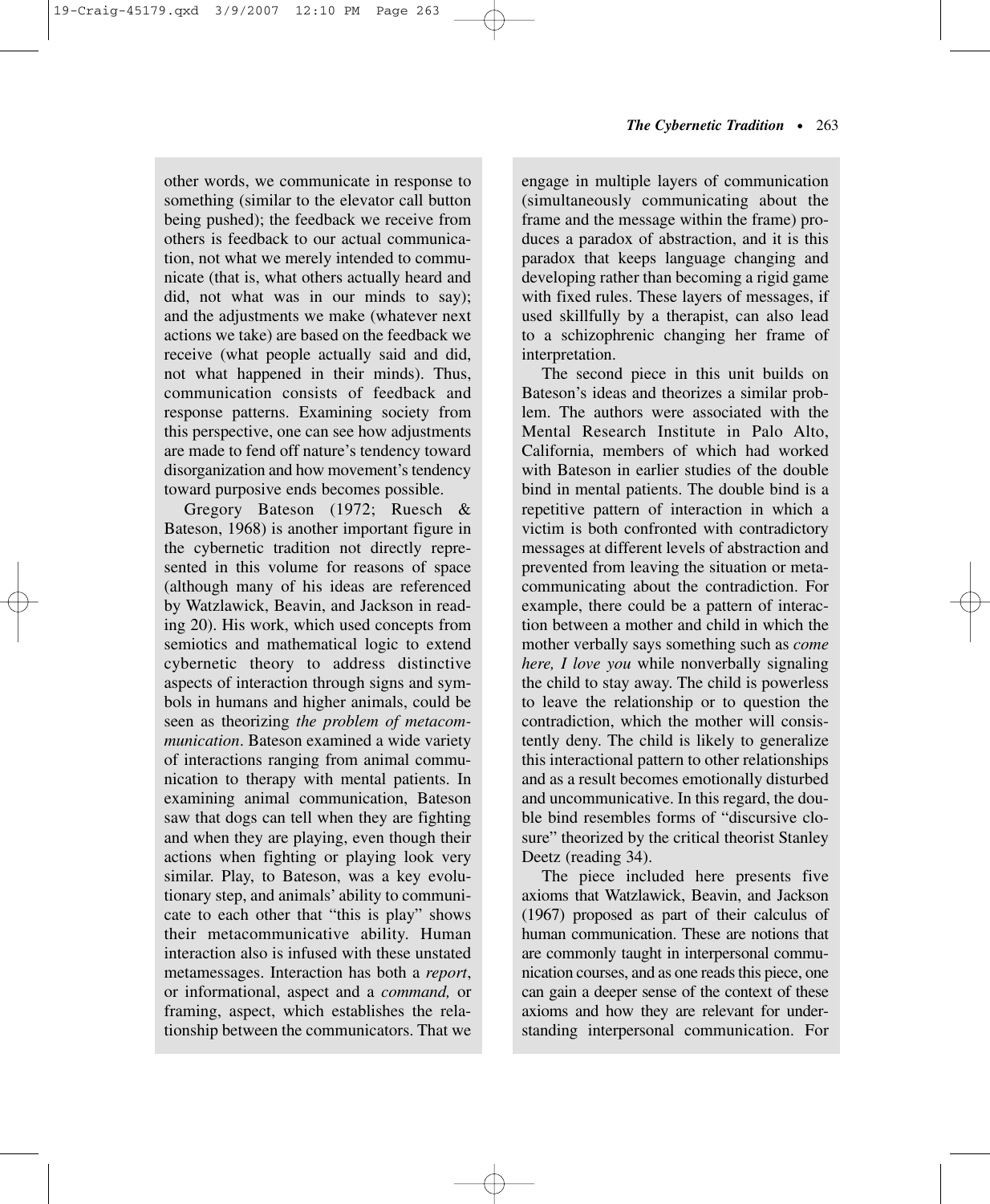other words, we communicate in response to something (similar to the elevator call button being pushed); the feedback we receive from others is feedback to our actual communication, not what we merely intended to communicate (that is, what others actually heard and did, not what was in our minds to say); and the adjustments we make (whatever next actions we take) are based on the feedback we receive (what people actually said and did, not what happened in their minds). Thus, communication consists of feedback and response patterns. Examining society from this perspective, one can see how adjustments are made to fend off nature's tendency toward disorganization and how movement's tendency toward purposive ends becomes possible.

Gregory Bateson (1972; Ruesch & Bateson, 1968) is another important figure in the cybernetic tradition not directly represented in this volume for reasons of space (although many of his ideas are referenced by Watzlawick, Beavin, and Jackson in reading 20). His work, which used concepts from semiotics and mathematical logic to extend cybernetic theory to address distinctive aspects of interaction through signs and symbols in humans and higher animals, could be seen as theorizing *the problem of metacommunication*. Bateson examined a wide variety of interactions ranging from animal communication to therapy with mental patients. In examining animal communication, Bateson saw that dogs can tell when they are fighting and when they are playing, even though their actions when fighting or playing look very similar. Play, to Bateson, was a key evolutionary step, and animals' ability to communicate to each other that "this is play" shows their metacommunicative ability. Human interaction also is infused with these unstated metamessages. Interaction has both a *report*, or informational, aspect and a *command,* or framing, aspect, which establishes the relationship between the communicators. That we

engage in multiple layers of communication (simultaneously communicating about the frame and the message within the frame) produces a paradox of abstraction, and it is this paradox that keeps language changing and developing rather than becoming a rigid game with fixed rules. These layers of messages, if used skillfully by a therapist, can also lead to a schizophrenic changing her frame of interpretation.

The second piece in this unit builds on Bateson's ideas and theorizes a similar problem. The authors were associated with the Mental Research Institute in Palo Alto, California, members of which had worked with Bateson in earlier studies of the double bind in mental patients. The double bind is a repetitive pattern of interaction in which a victim is both confronted with contradictory messages at different levels of abstraction and prevented from leaving the situation or metacommunicating about the contradiction. For example, there could be a pattern of interaction between a mother and child in which the mother verbally says something such as *come here, I love you* while nonverbally signaling the child to stay away. The child is powerless to leave the relationship or to question the contradiction, which the mother will consistently deny. The child is likely to generalize this interactional pattern to other relationships and as a result becomes emotionally disturbed and uncommunicative. In this regard, the double bind resembles forms of "discursive closure" theorized by the critical theorist Stanley Deetz (reading 34).

The piece included here presents five axioms that Watzlawick, Beavin, and Jackson (1967) proposed as part of their calculus of human communication. These are notions that are commonly taught in interpersonal communication courses, and as one reads this piece, one can gain a deeper sense of the context of these axioms and how they are relevant for understanding interpersonal communication. For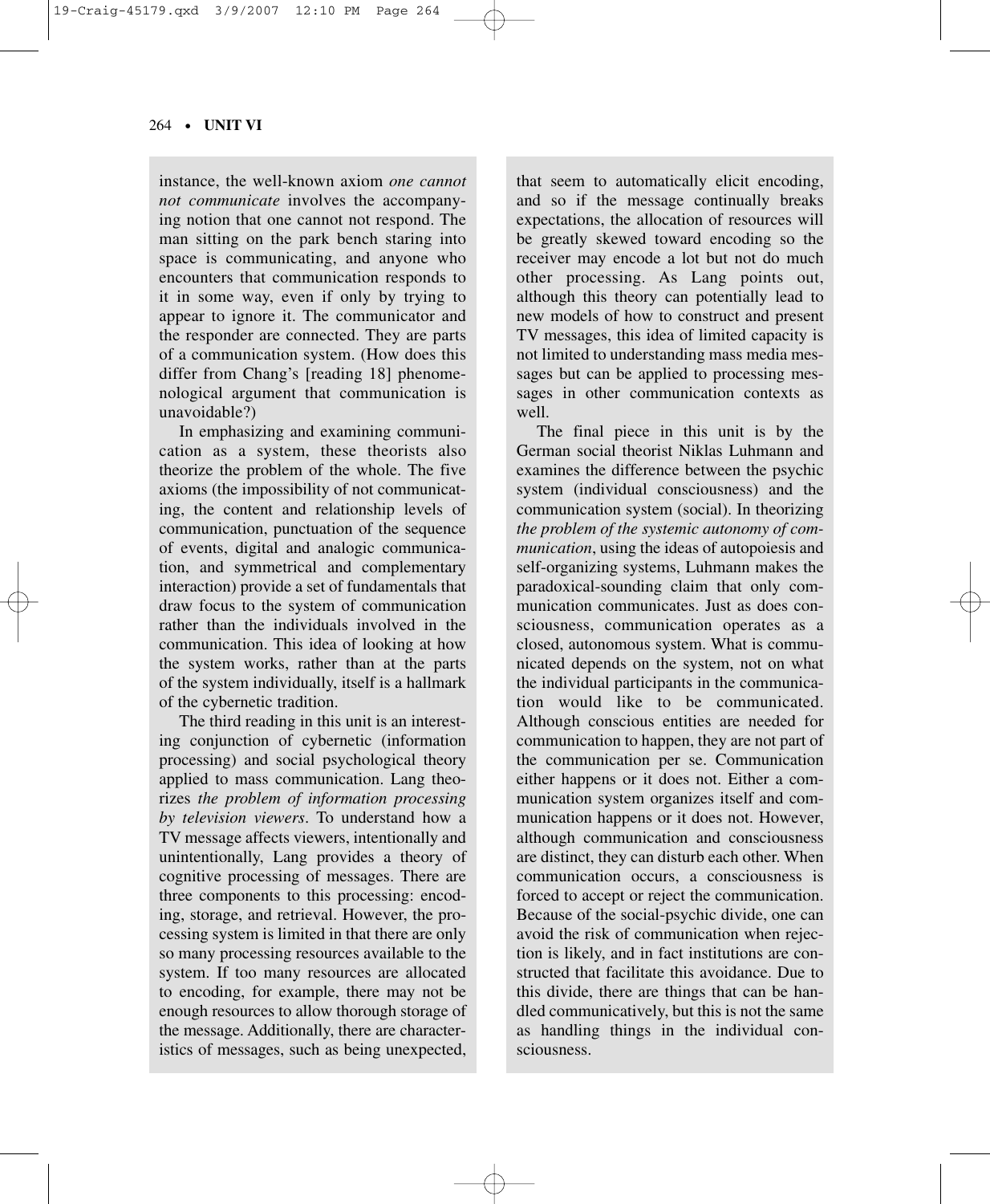### 264 • **UNIT VI**

instance, the well-known axiom *one cannot not communicate* involves the accompanying notion that one cannot not respond. The man sitting on the park bench staring into space is communicating, and anyone who encounters that communication responds to it in some way, even if only by trying to appear to ignore it. The communicator and the responder are connected. They are parts of a communication system. (How does this differ from Chang's [reading 18] phenomenological argument that communication is unavoidable?)

In emphasizing and examining communication as a system, these theorists also theorize the problem of the whole. The five axioms (the impossibility of not communicating, the content and relationship levels of communication, punctuation of the sequence of events, digital and analogic communication, and symmetrical and complementary interaction) provide a set of fundamentals that draw focus to the system of communication rather than the individuals involved in the communication. This idea of looking at how the system works, rather than at the parts of the system individually, itself is a hallmark of the cybernetic tradition.

The third reading in this unit is an interesting conjunction of cybernetic (information processing) and social psychological theory applied to mass communication. Lang theorizes *the problem of information processing by television viewers*. To understand how a TV message affects viewers, intentionally and unintentionally, Lang provides a theory of cognitive processing of messages. There are three components to this processing: encoding, storage, and retrieval. However, the processing system is limited in that there are only so many processing resources available to the system. If too many resources are allocated to encoding, for example, there may not be enough resources to allow thorough storage of the message. Additionally, there are characteristics of messages, such as being unexpected,

that seem to automatically elicit encoding, and so if the message continually breaks expectations, the allocation of resources will be greatly skewed toward encoding so the receiver may encode a lot but not do much other processing. As Lang points out, although this theory can potentially lead to new models of how to construct and present TV messages, this idea of limited capacity is not limited to understanding mass media messages but can be applied to processing messages in other communication contexts as well.

The final piece in this unit is by the German social theorist Niklas Luhmann and examines the difference between the psychic system (individual consciousness) and the communication system (social). In theorizing *the problem of the systemic autonomy of communication*, using the ideas of autopoiesis and self-organizing systems, Luhmann makes the paradoxical-sounding claim that only communication communicates. Just as does consciousness, communication operates as a closed, autonomous system. What is communicated depends on the system, not on what the individual participants in the communication would like to be communicated. Although conscious entities are needed for communication to happen, they are not part of the communication per se. Communication either happens or it does not. Either a communication system organizes itself and communication happens or it does not. However, although communication and consciousness are distinct, they can disturb each other. When communication occurs, a consciousness is forced to accept or reject the communication. Because of the social-psychic divide, one can avoid the risk of communication when rejection is likely, and in fact institutions are constructed that facilitate this avoidance. Due to this divide, there are things that can be handled communicatively, but this is not the same as handling things in the individual consciousness.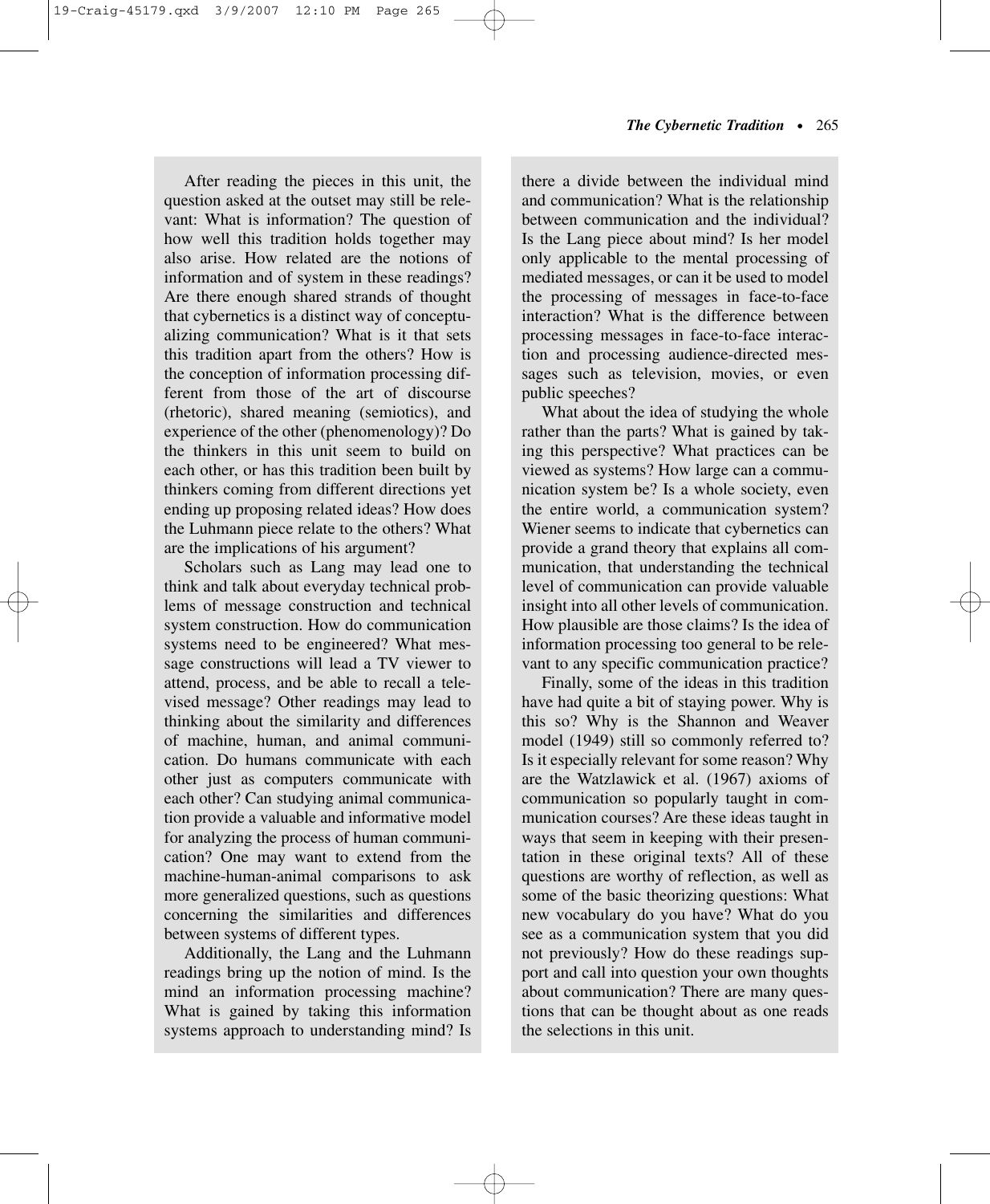After reading the pieces in this unit, the question asked at the outset may still be relevant: What is information? The question of how well this tradition holds together may also arise. How related are the notions of information and of system in these readings? Are there enough shared strands of thought that cybernetics is a distinct way of conceptualizing communication? What is it that sets this tradition apart from the others? How is the conception of information processing different from those of the art of discourse (rhetoric), shared meaning (semiotics), and experience of the other (phenomenology)? Do the thinkers in this unit seem to build on each other, or has this tradition been built by thinkers coming from different directions yet ending up proposing related ideas? How does the Luhmann piece relate to the others? What are the implications of his argument?

Scholars such as Lang may lead one to think and talk about everyday technical problems of message construction and technical system construction. How do communication systems need to be engineered? What message constructions will lead a TV viewer to attend, process, and be able to recall a televised message? Other readings may lead to thinking about the similarity and differences of machine, human, and animal communication. Do humans communicate with each other just as computers communicate with each other? Can studying animal communication provide a valuable and informative model for analyzing the process of human communication? One may want to extend from the machine-human-animal comparisons to ask more generalized questions, such as questions concerning the similarities and differences between systems of different types.

Additionally, the Lang and the Luhmann readings bring up the notion of mind. Is the mind an information processing machine? What is gained by taking this information systems approach to understanding mind? Is

there a divide between the individual mind and communication? What is the relationship between communication and the individual? Is the Lang piece about mind? Is her model only applicable to the mental processing of mediated messages, or can it be used to model the processing of messages in face-to-face interaction? What is the difference between processing messages in face-to-face interaction and processing audience-directed messages such as television, movies, or even public speeches?

What about the idea of studying the whole rather than the parts? What is gained by taking this perspective? What practices can be viewed as systems? How large can a communication system be? Is a whole society, even the entire world, a communication system? Wiener seems to indicate that cybernetics can provide a grand theory that explains all communication, that understanding the technical level of communication can provide valuable insight into all other levels of communication. How plausible are those claims? Is the idea of information processing too general to be relevant to any specific communication practice?

Finally, some of the ideas in this tradition have had quite a bit of staying power. Why is this so? Why is the Shannon and Weaver model (1949) still so commonly referred to? Is it especially relevant for some reason? Why are the Watzlawick et al. (1967) axioms of communication so popularly taught in communication courses? Are these ideas taught in ways that seem in keeping with their presentation in these original texts? All of these questions are worthy of reflection, as well as some of the basic theorizing questions: What new vocabulary do you have? What do you see as a communication system that you did not previously? How do these readings support and call into question your own thoughts about communication? There are many questions that can be thought about as one reads the selections in this unit.